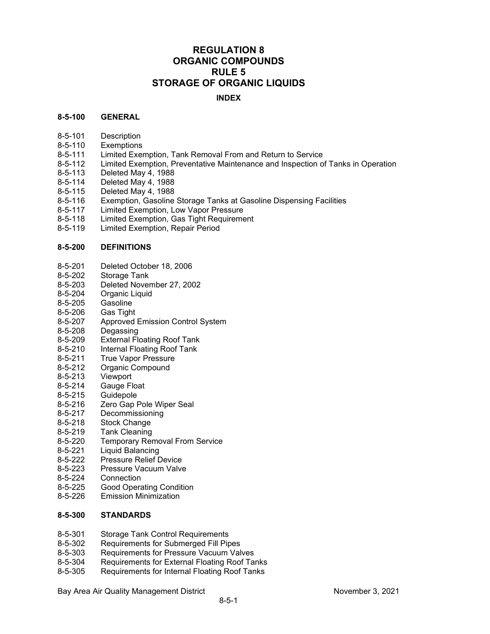### **REGULATION 8 ORGANIC COMPOUNDS RULE 5 STORAGE OF ORGANIC LIQUIDS**

### **INDEX**

### **8-5-100 GENERAL**

- 8-5-101 Description<br>8-5-110 Exemptions
- **Exemptions**
- 8-5-111 Limited Exemption, Tank Removal From and Return to Service
- 8-5-112 Limited Exemption, Preventative Maintenance and Inspection of Tanks in Operation<br>8-5-113 Deleted May 4, 1988
- Deleted May 4, 1988
- 
- 8-5-114 Deleted May 4, 1988<br>8-5-115 Deleted May 4, 1988 Deleted May 4, 1988
- 8-5-116 Exemption, Gasoline Storage Tanks at Gasoline Dispensing Facilities
- 8-5-117 Limited Exemption, Low Vapor Pressure
- Limited Exemption, Gas Tight Requirement
- 8-5-119 Limited Exemption, Repair Period

#### **8-5-200 DEFINITIONS**

- 8-5-201 Deleted October 18, 2006<br>8-5-202 Storage Tank
- Storage Tank
- 8-5-203 Deleted November 27, 2002
- 8-5-204 Organic Liquid<br>8-5-205 Gasoline
- 8-5-205 Gasoline<br>8-5-206 Gas Tight
- Gas Tight
- 8-5-207 Approved Emission Control System<br>8-5-208 Degassing
- Degassing
- 8-5-209 External Floating Roof Tank
- 8-5-210 Internal Floating Roof Tank<br>8-5-211 True Vapor Pressure
- True Vapor Pressure
- 8-5-212 Organic Compound
- 8-5-213 Viewport
- 8-5-214 Gauge Float
- 8-5-215 Guidepole<br>8-5-216 Zero Gap I
- 8-5-216 Zero Gap Pole Wiper Seal<br>8-5-217 Decommissioning
- **Decommissioning**
- 8-5-218 Stock Change
- 8-5-219 Tank Cleaning
- 8-5-220 Temporary Removal From Service
- 8-5-221 Liquid Balancing<br>8-5-222 Pressure Relief D
- 8-5-222 Pressure Relief Device<br>8-5-223 Pressure Vacuum Valve
- Pressure Vacuum Valve
- 8-5-224 Connection
- 8-5-225 Good Operating Condition
- 8-5-226 Emission Minimization

### **8-5-300 STANDARDS**

- 8-5-301 Storage Tank Control Requirements
- 8-5-302 Requirements for Submerged Fill Pipes<br>8-5-303 Requirements for Pressure Vacuum Val
- Requirements for Pressure Vacuum Valves
- 8-5-304 Requirements for External Floating Roof Tanks
- 8-5-305 Requirements for Internal Floating Roof Tanks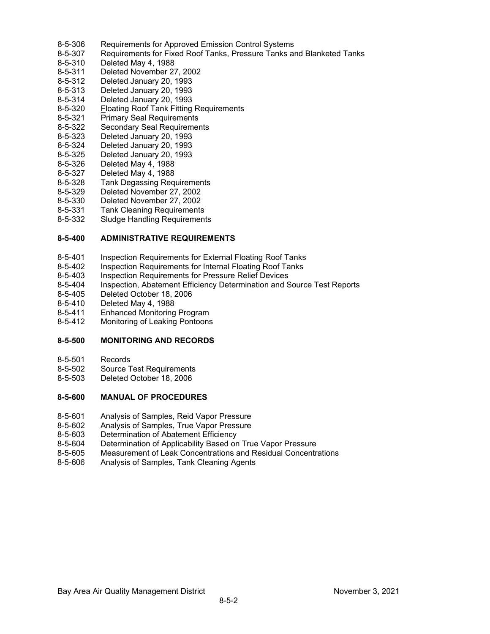- 8-5-306 Requirements for Approved Emission Control Systems<br>8-5-307 Requirements for Fixed Roof Tanks, Pressure Tanks are
- 8-5-307 Requirements for Fixed Roof Tanks, Pressure Tanks and Blanketed Tanks<br>8-5-310 Deleted May 4, 1988
- Deleted May 4, 1988
- 8-5-311 Deleted November 27, 2002
- 8-5-312 Deleted January 20, 1993
- 8-5-313 Deleted January 20, 1993
- 8-5-314 Deleted January 20, 1993
- 8-5-320 Floating Roof Tank Fitting Requirements
- 8-5-321 Primary Seal Requirements<br>8-5-322 Secondary Seal Requiremer
- 8-5-322 Secondary Seal Requirements<br>8-5-323 Deleted January 20, 1993
- 8-5-323 Deleted January 20, 1993
- 8-5-324 Deleted January 20, 1993
- 8-5-325 Deleted January 20, 1993<br>8-5-326 Deleted May 4, 1988
- Deleted May 4, 1988
- 8-5-327 Deleted May 4, 1988
- 8-5-328 Tank Degassing Requirements
- 8-5-329 Deleted November 27, 2002
- 8-5-330 Deleted November 27, 2002
- **Tank Cleaning Requirements**
- 8-5-332 Sludge Handling Requirements

### **8-5-400 ADMINISTRATIVE REQUIREMENTS**

- 8-5-401 Inspection Requirements for External Floating Roof Tanks
- 8-5-402 Inspection Requirements for Internal Floating Roof Tanks
- 8-5-403 Inspection Requirements for Pressure Relief Devices
- 8-5-404 Inspection, Abatement Efficiency Determination and Source Test Reports
- 8-5-405 Deleted October 18, 2006<br>8-5-410 Deleted May 4, 1988
- 8-5-410 Deleted May 4, 1988<br>8-5-411 Enhanced Monitoring
- Enhanced Monitoring Program
- 8-5-412 Monitoring of Leaking Pontoons

### **8-5-500 MONITORING AND RECORDS**

- 8-5-501 Records
- 8-5-502 Source Test Requirements
- 8-5-503 Deleted October 18, 2006

### **8-5-600 MANUAL OF PROCEDURES**

- 8-5-601 Analysis of Samples, Reid Vapor Pressure<br>8-5-602 Analysis of Samples. True Vapor Pressure
- Analysis of Samples, True Vapor Pressure
- 8-5-603 Determination of Abatement Efficiency
- 8-5-604 Determination of Applicability Based on True Vapor Pressure
- 8-5-605 Measurement of Leak Concentrations and Residual Concentrations
- 8-5-606 Analysis of Samples, Tank Cleaning Agents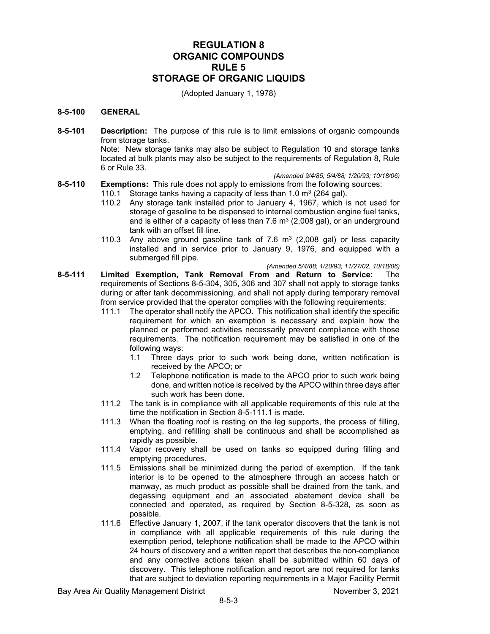### **REGULATION 8 ORGANIC COMPOUNDS RULE 5 STORAGE OF ORGANIC LIQUIDS**

(Adopted January 1, 1978)

### **8-5-100 GENERAL**

**8-5-101 Description:** The purpose of this rule is to limit emissions of organic compounds from storage tanks.

Note: New storage tanks may also be subject to Regulation 10 and storage tanks located at bulk plants may also be subject to the requirements of Regulation 8, Rule 6 or Rule 33.

*(Amended 9/4/85; 5/4/88; 1/20/93; 10/18/06)*

**8-5-110 Exemptions:** This rule does not apply to emissions from the following sources: 110.1 Storage tanks having a capacity of less than 1.0  $m^3$  (264 gal).

- 110.2 Any storage tank installed prior to January 4, 1967, which is not used for storage of gasoline to be dispensed to internal combustion engine fuel tanks, and is either of a capacity of less than 7.6  $m<sup>3</sup>$  (2,008 gal), or an underground tank with an offset fill line.
- 110.3 Any above ground gasoline tank of 7.6  $\text{m}^3$  (2,008 gal) or less capacity installed and in service prior to January 9, 1976, and equipped with a submerged fill pipe.

*(Amended 5/4/88; 1/20/93; 11/27/02, 10/18/06)*

- **8-5-111 Limited Exemption, Tank Removal From and Return to Service:** The requirements of Sections 8-5-304, 305, 306 and 307 shall not apply to storage tanks during or after tank decommissioning, and shall not apply during temporary removal from service provided that the operator complies with the following requirements:<br>111.1 The operator shall notify the APCO. This notification shall identify the spec
	- The operator shall notify the APCO. This notification shall identify the specific requirement for which an exemption is necessary and explain how the planned or performed activities necessarily prevent compliance with those requirements. The notification requirement may be satisfied in one of the following ways:
		- 1.1 Three days prior to such work being done, written notification is received by the APCO; or
		- 1.2 Telephone notification is made to the APCO prior to such work being done, and written notice is received by the APCO within three days after such work has been done.
	- 111.2 The tank is in compliance with all applicable requirements of this rule at the time the notification in Section 8-5-111.1 is made.
	- 111.3 When the floating roof is resting on the leg supports, the process of filling, emptying, and refilling shall be continuous and shall be accomplished as rapidly as possible.
	- 111.4 Vapor recovery shall be used on tanks so equipped during filling and emptying procedures.
	- 111.5 Emissions shall be minimized during the period of exemption. If the tank interior is to be opened to the atmosphere through an access hatch or manway, as much product as possible shall be drained from the tank, and degassing equipment and an associated abatement device shall be connected and operated, as required by Section 8-5-328, as soon as possible.
	- 111.6 Effective January 1, 2007, if the tank operator discovers that the tank is not in compliance with all applicable requirements of this rule during the exemption period, telephone notification shall be made to the APCO within 24 hours of discovery and a written report that describes the non-compliance and any corrective actions taken shall be submitted within 60 days of discovery. This telephone notification and report are not required for tanks that are subject to deviation reporting requirements in a Major Facility Permit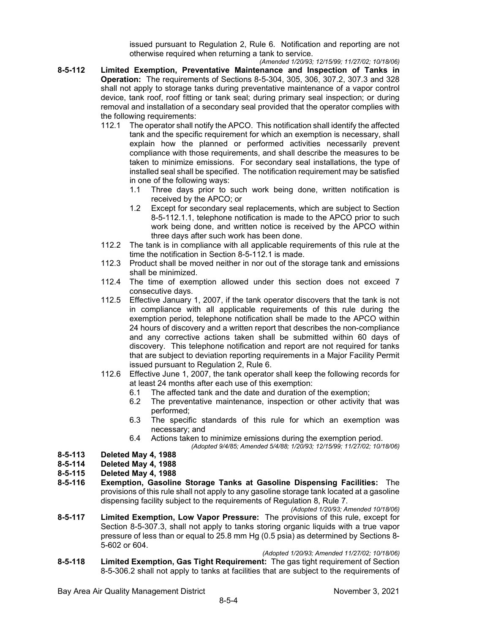issued pursuant to Regulation 2, Rule 6. Notification and reporting are not otherwise required when returning a tank to service.

- *(Amended 1/20/93; 12/15/99; 11/27/02; 10/18/06)* **8-5-112 Limited Exemption, Preventative Maintenance and Inspection of Tanks in Operation:** The requirements of Sections 8-5-304, 305, 306, 307.2, 307.3 and 328 shall not apply to storage tanks during preventative maintenance of a vapor control device, tank roof, roof fitting or tank seal; during primary seal inspection; or during removal and installation of a secondary seal provided that the operator complies with the following requirements:
	- 112.1 The operator shall notify the APCO. This notification shall identify the affected tank and the specific requirement for which an exemption is necessary, shall explain how the planned or performed activities necessarily prevent compliance with those requirements, and shall describe the measures to be taken to minimize emissions. For secondary seal installations, the type of installed seal shall be specified. The notification requirement may be satisfied in one of the following ways:
		- 1.1 Three days prior to such work being done, written notification is received by the APCO; or
		- 1.2 Except for secondary seal replacements, which are subject to Section 8-5-112.1.1, telephone notification is made to the APCO prior to such work being done, and written notice is received by the APCO within three days after such work has been done.
	- 112.2 The tank is in compliance with all applicable requirements of this rule at the time the notification in Section 8-5-112.1 is made.
	- 112.3 Product shall be moved neither in nor out of the storage tank and emissions shall be minimized.
	- 112.4 The time of exemption allowed under this section does not exceed 7 consecutive days.
	- 112.5 Effective January 1, 2007, if the tank operator discovers that the tank is not in compliance with all applicable requirements of this rule during the exemption period, telephone notification shall be made to the APCO within 24 hours of discovery and a written report that describes the non-compliance and any corrective actions taken shall be submitted within 60 days of discovery. This telephone notification and report are not required for tanks that are subject to deviation reporting requirements in a Major Facility Permit issued pursuant to Regulation 2, Rule 6.
	- 112.6 Effective June 1, 2007, the tank operator shall keep the following records for at least 24 months after each use of this exemption:
		- 6.1 The affected tank and the date and duration of the exemption;
		- 6.2 The preventative maintenance, inspection or other activity that was performed;
		- 6.3 The specific standards of this rule for which an exemption was necessary; and
		- 6.4 Actions taken to minimize emissions during the exemption period.
		- *(Adopted 9/4/85; Amended 5/4/88; 1/20/93; 12/15/99; 11/27/02; 10/18/06)*

## **8-5-113 Deleted May 4, 1988**

### **8-5-114 Deleted May 4, 1988**

- **8-5-115 Deleted May 4, 1988**
- **8-5-116 Exemption, Gasoline Storage Tanks at Gasoline Dispensing Facilities:** The provisions of this rule shall not apply to any gasoline storage tank located at a gasoline dispensing facility subject to the requirements of Regulation 8, Rule 7.
	- *(Adopted 1/20/93; Amended 10/18/06)*
- **8-5-117 Limited Exemption, Low Vapor Pressure:** The provisions of this rule, except for Section 8-5-307.3, shall not apply to tanks storing organic liquids with a true vapor pressure of less than or equal to 25.8 mm Hg (0.5 psia) as determined by Sections 8- 5-602 or 604.
- *(Adopted 1/20/93; Amended 11/27/02; 10/18/06)* **8-5-118 Limited Exemption, Gas Tight Requirement:** The gas tight requirement of Section 8-5-306.2 shall not apply to tanks at facilities that are subject to the requirements of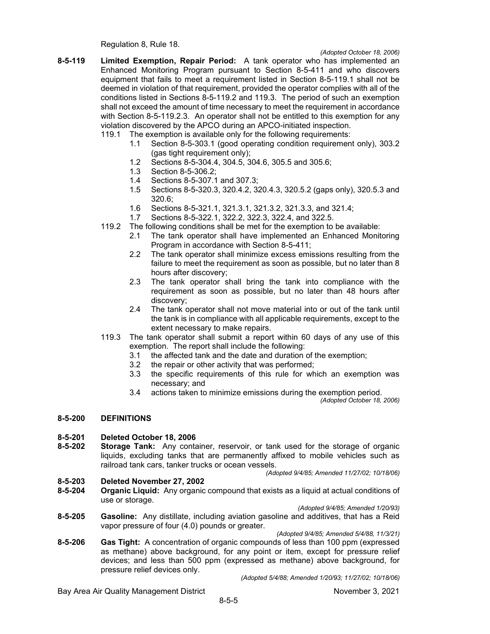Regulation 8, Rule 18.

- **8-5-119 Limited Exemption, Repair Period:** A tank operator who has implemented an Enhanced Monitoring Program pursuant to Section 8-5-411 and who discovers equipment that fails to meet a requirement listed in Section 8-5-119.1 shall not be deemed in violation of that requirement, provided the operator complies with all of the conditions listed in Sections 8-5-119.2 and 119.3. The period of such an exemption shall not exceed the amount of time necessary to meet the requirement in accordance with Section 8-5-119.2.3. An operator shall not be entitled to this exemption for any violation discovered by the APCO during an APCO-initiated inspection.
	- 119.1 The exemption is available only for the following requirements:
		- 1.1 Section 8-5-303.1 (good operating condition requirement only), 303.2 (gas tight requirement only);
		- 1.2 Sections 8-5-304.4, 304.5, 304.6, 305.5 and 305.6;
		- 1.3 Section 8-5-306.2;
		- 1.4 Sections 8-5-307.1 and 307.3;
		- 1.5 Sections 8-5-320.3, 320.4.2, 320.4.3, 320.5.2 (gaps only), 320.5.3 and 320.6;
		- 1.6 Sections 8-5-321.1, 321.3.1, 321.3.2, 321.3.3, and 321.4;
		- 1.7 Sections 8-5-322.1, 322.2, 322.3, 322.4, and 322.5.
	- 119.2 The following conditions shall be met for the exemption to be available:
		- 2.1 The tank operator shall have implemented an Enhanced Monitoring Program in accordance with Section 8-5-411;
		- 2.2 The tank operator shall minimize excess emissions resulting from the failure to meet the requirement as soon as possible, but no later than 8 hours after discovery;
		- 2.3 The tank operator shall bring the tank into compliance with the requirement as soon as possible, but no later than 48 hours after discovery;
		- 2.4 The tank operator shall not move material into or out of the tank until the tank is in compliance with all applicable requirements, except to the extent necessary to make repairs.
	- 119.3 The tank operator shall submit a report within 60 days of any use of this exemption. The report shall include the following:
		- 3.1 the affected tank and the date and duration of the exemption;
		- 3.2 the repair or other activity that was performed;
		- 3.3 the specific requirements of this rule for which an exemption was necessary; and
		- 3.4 actions taken to minimize emissions during the exemption period.

*(Adopted October 18, 2006)*

### **8-5-200 DEFINITIONS**

## **8-5-201 Deleted October 18, 2006**

**Storage Tank:** Any container, reservoir, or tank used for the storage of organic liquids, excluding tanks that are permanently affixed to mobile vehicles such as railroad tank cars, tanker trucks or ocean vessels.

#### *(Adopted 9/4/85; Amended 11/27/02; 10/18/06)*

### **8-5-203 Deleted November 27, 2002**

**8-5-204 Organic Liquid:** Any organic compound that exists as a liquid at actual conditions of use or storage.

#### *(Adopted 9/4/85; Amended 1/20/93)*

**8-5-205 Gasoline:** Any distillate, including aviation gasoline and additives, that has a Reid vapor pressure of four (4.0) pounds or greater.

*(Adopted 9/4/85; Amended 5/4/88, 11/3/21)*

**8-5-206 Gas Tight:** A concentration of organic compounds of less than 100 ppm (expressed as methane) above background, for any point or item, except for pressure relief devices; and less than 500 ppm (expressed as methane) above background, for pressure relief devices only.

*(Adopted 5/4/88; Amended 1/20/93; 11/27/02; 10/18/06)*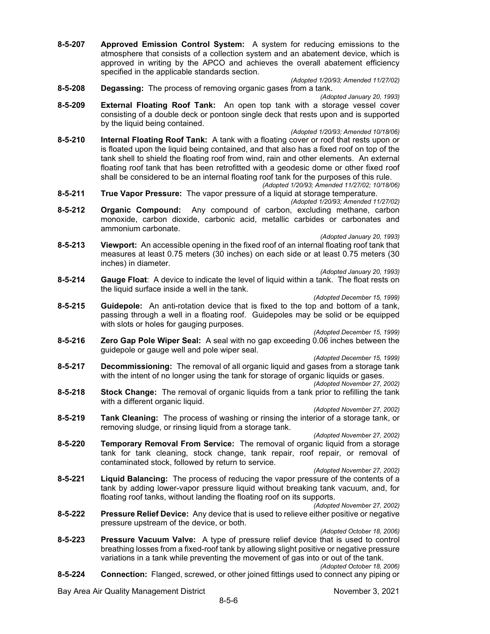**8-5-207 Approved Emission Control System:** A system for reducing emissions to the atmosphere that consists of a collection system and an abatement device, which is approved in writing by the APCO and achieves the overall abatement efficiency specified in the applicable standards section.

*(Adopted 1/20/93; Amended 11/27/02)*

- **8-5-208 Degassing:** The process of removing organic gases from a tank.
- *(Adopted January 20, 1993)* **8-5-209 External Floating Roof Tank:** An open top tank with a storage vessel cover consisting of a double deck or pontoon single deck that rests upon and is supported by the liquid being contained.

*(Adopted 1/20/93; Amended 10/18/06)*

- **8-5-210 Internal Floating Roof Tank:** A tank with a floating cover or roof that rests upon or is floated upon the liquid being contained, and that also has a fixed roof on top of the tank shell to shield the floating roof from wind, rain and other elements. An external floating roof tank that has been retrofitted with a geodesic dome or other fixed roof shall be considered to be an internal floating roof tank for the purposes of this rule. *(Adopted 1/20/93; Amended 11/27/02; 10/18/06)*
- **8-5-211 True Vapor Pressure:** The vapor pressure of a liquid at storage temperature.
- *(Adopted 1/20/93; Amended 11/27/02)* **8-5-212 Organic Compound:** Any compound of carbon, excluding methane, carbon monoxide, carbon dioxide, carbonic acid, metallic carbides or carbonates and ammonium carbonate.

*(Adopted January 20, 1993)*

**8-5-213 Viewport:** An accessible opening in the fixed roof of an internal floating roof tank that measures at least 0.75 meters (30 inches) on each side or at least 0.75 meters (30 inches) in diameter.

*(Adopted January 20, 1993)*

**8-5-214 Gauge Float**: A device to indicate the level of liquid within a tank. The float rests on the liquid surface inside a well in the tank.

*(Adopted December 15, 1999)*

**8-5-215 Guidepole:** An anti-rotation device that is fixed to the top and bottom of a tank, passing through a well in a floating roof. Guidepoles may be solid or be equipped with slots or holes for gauging purposes.

*(Adopted December 15, 1999)*

**8-5-216 Zero Gap Pole Wiper Seal:** A seal with no gap exceeding 0.06 inches between the guidepole or gauge well and pole wiper seal.

*(Adopted December 15, 1999)*

**8-5-217 Decommissioning:** The removal of all organic liquid and gases from a storage tank with the intent of no longer using the tank for storage of organic liquids or gases.

*(Adopted November 27, 2002)*

**8-5-218 Stock Change:** The removal of organic liquids from a tank prior to refilling the tank with a different organic liquid.

*(Adopted November 27, 2002)*

**8-5-219 Tank Cleaning:** The process of washing or rinsing the interior of a storage tank, or removing sludge, or rinsing liquid from a storage tank.

*(Adopted November 27, 2002)*

- **8-5-220 Temporary Removal From Service:** The removal of organic liquid from a storage tank for tank cleaning, stock change, tank repair, roof repair, or removal of contaminated stock, followed by return to service.
- *(Adopted November 27, 2002)* **8-5-221 Liquid Balancing:** The process of reducing the vapor pressure of the contents of a tank by adding lower-vapor pressure liquid without breaking tank vacuum, and, for floating roof tanks, without landing the floating roof on its supports.

*(Adopted November 27, 2002)*

**8-5-222 Pressure Relief Device:** Any device that is used to relieve either positive or negative pressure upstream of the device, or both.

*(Adopted October 18, 2006)*

- **8-5-223 Pressure Vacuum Valve:** A type of pressure relief device that is used to control breathing losses from a fixed-roof tank by allowing slight positive or negative pressure variations in a tank while preventing the movement of gas into or out of the tank.
- *(Adopted October 18, 2006)* **8-5-224 Connection:** Flanged, screwed, or other joined fittings used to connect any piping or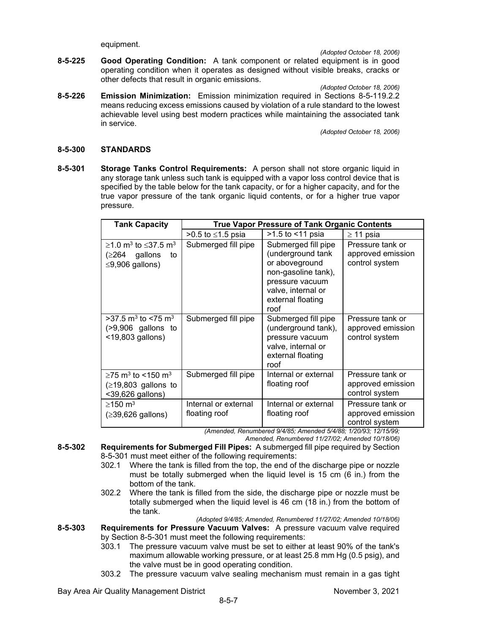equipment.

*(Adopted October 18, 2006)*

- **8-5-225 Good Operating Condition:** A tank component or related equipment is in good operating condition when it operates as designed without visible breaks, cracks or other defects that result in organic emissions.
	- *(Adopted October 18, 2006)*
- **8-5-226 Emission Minimization:** Emission minimization required in Sections 8-5-119.2.2 means reducing excess emissions caused by violation of a rule standard to the lowest achievable level using best modern practices while maintaining the associated tank in service.

*(Adopted October 18, 2006)*

#### **8-5-300 STANDARDS**

**8-5-301 Storage Tanks Control Requirements:** A person shall not store organic liquid in any storage tank unless such tank is equipped with a vapor loss control device that is specified by the table below for the tank capacity, or for a higher capacity, and for the true vapor pressure of the tank organic liquid contents, or for a higher true vapor pressure.

| <b>Tank Capacity</b>                                                                                       | <b>True Vapor Pressure of Tank Organic Contents</b> |                                                                                                                                                         |                                                         |  |  |
|------------------------------------------------------------------------------------------------------------|-----------------------------------------------------|---------------------------------------------------------------------------------------------------------------------------------------------------------|---------------------------------------------------------|--|--|
|                                                                                                            | >0.5 to ≤1.5 psia                                   | >1.5 to <11 psia                                                                                                                                        | $\geq$ 11 psia                                          |  |  |
| $\geq$ 1.0 m <sup>3</sup> to $\leq$ 37.5 m <sup>3</sup><br>(≥264<br>gallons<br>to<br>$\leq$ 9,906 gallons) | Submerged fill pipe                                 | Submerged fill pipe<br>(underground tank<br>or aboveground<br>non-gasoline tank),<br>pressure vacuum<br>valve, internal or<br>external floating<br>roof | Pressure tank or<br>approved emission<br>control system |  |  |
| $>$ 37.5 m <sup>3</sup> to <75 m <sup>3</sup><br>$(>9,906)$ gallons to<br><19,803 gallons)                 | Submerged fill pipe                                 | Submerged fill pipe<br>(underground tank),<br>pressure vacuum<br>valve, internal or<br>external floating<br>roof                                        | Pressure tank or<br>approved emission<br>control system |  |  |
| ≥75 m <sup>3</sup> to <150 m <sup>3</sup><br>$( \geq 19, 803$ gallons to<br><39,626 gallons)               | Submerged fill pipe                                 | Internal or external<br>floating roof                                                                                                                   | Pressure tank or<br>approved emission<br>control system |  |  |
| $\geq$ 150 m <sup>3</sup><br>$(\geq 39, 626$ gallons)                                                      | Internal or external<br>floating roof               | Internal or external<br>floating roof                                                                                                                   | Pressure tank or<br>approved emission<br>control system |  |  |

*(Amended, Renumbered 9/4/85; Amended 5/4/88; 1/20/93; 12/15/99;*

*Amended, Renumbered 11/27/02; Amended 10/18/06)*

- **8-5-302 Requirements for Submerged Fill Pipes:** A submerged fill pipe required by Section 8-5-301 must meet either of the following requirements:
	- 302.1 Where the tank is filled from the top, the end of the discharge pipe or nozzle must be totally submerged when the liquid level is 15 cm (6 in.) from the bottom of the tank.
	- 302.2 Where the tank is filled from the side, the discharge pipe or nozzle must be totally submerged when the liquid level is 46 cm (18 in.) from the bottom of the tank.

*(Adopted 9/4/85; Amended, Renumbered 11/27/02; Amended 10/18/06)* **8-5-303 Requirements for Pressure Vacuum Valves:** A pressure vacuum valve required by Section 8-5-301 must meet the following requirements:

- 303.1 The pressure vacuum valve must be set to either at least 90% of the tank's maximum allowable working pressure, or at least 25.8 mm Hg (0.5 psig), and the valve must be in good operating condition.
- 303.2 The pressure vacuum valve sealing mechanism must remain in a gas tight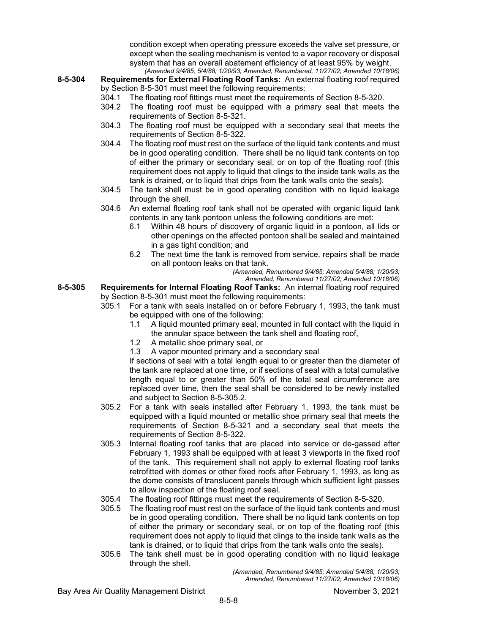condition except when operating pressure exceeds the valve set pressure, or except when the sealing mechanism is vented to a vapor recovery or disposal system that has an overall abatement efficiency of at least 95% by weight. *(Amended 9/4/85; 5/4/88; 1/20/93; Amended, Renumbered, 11/27/02; Amended 10/18/06)*

- **8-5-304 Requirements for External Floating Roof Tanks:** An external floating roof required by Section 8-5-301 must meet the following requirements:
	- 304.1 The floating roof fittings must meet the requirements of Section 8-5-320.
	- 304.2 The floating roof must be equipped with a primary seal that meets the requirements of Section 8-5-321.
	- 304.3 The floating roof must be equipped with a secondary seal that meets the requirements of Section 8-5-322.
	- 304.4 The floating roof must rest on the surface of the liquid tank contents and must be in good operating condition. There shall be no liquid tank contents on top of either the primary or secondary seal, or on top of the floating roof (this requirement does not apply to liquid that clings to the inside tank walls as the tank is drained, or to liquid that drips from the tank walls onto the seals).
	- 304.5 The tank shell must be in good operating condition with no liquid leakage through the shell.
	- 304.6 An external floating roof tank shall not be operated with organic liquid tank contents in any tank pontoon unless the following conditions are met:
		- 6.1 Within 48 hours of discovery of organic liquid in a pontoon, all lids or other openings on the affected pontoon shall be sealed and maintained in a gas tight condition; and
		- 6.2 The next time the tank is removed from service, repairs shall be made on all pontoon leaks on that tank.

*(Amended, Renumbered 9/4/85; Amended 5/4/88; 1/20/93;*

*Amended, Renumbered 11/27/02; Amended 10/18/06)*

- **8-5-305 Requirements for Internal Floating Roof Tanks:** An internal floating roof required by Section 8-5-301 must meet the following requirements:
	- 305.1 For a tank with seals installed on or before February 1, 1993, the tank must be equipped with one of the following:
		- 1.1 A liquid mounted primary seal, mounted in full contact with the liquid in the annular space between the tank shell and floating roof,
		- 1.2 A metallic shoe primary seal, or
		- 1.3 A vapor mounted primary and a secondary seal

If sections of seal with a total length equal to or greater than the diameter of the tank are replaced at one time, or if sections of seal with a total cumulative length equal to or greater than 50% of the total seal circumference are replaced over time, then the seal shall be considered to be newly installed and subject to Section 8-5-305.2.

- 305.2 For a tank with seals installed after February 1, 1993, the tank must be equipped with a liquid mounted or metallic shoe primary seal that meets the requirements of Section 8-5-321 and a secondary seal that meets the requirements of Section 8-5-322.
- 305.3 Internal floating roof tanks that are placed into service or de-gassed after February 1, 1993 shall be equipped with at least 3 viewports in the fixed roof of the tank. This requirement shall not apply to external floating roof tanks retrofitted with domes or other fixed roofs after February 1, 1993, as long as the dome consists of translucent panels through which sufficient light passes to allow inspection of the floating roof seal.
- 305.4 The floating roof fittings must meet the requirements of Section 8-5-320.
- The floating roof must rest on the surface of the liquid tank contents and must be in good operating condition. There shall be no liquid tank contents on top of either the primary or secondary seal, or on top of the floating roof (this requirement does not apply to liquid that clings to the inside tank walls as the tank is drained, or to liquid that drips from the tank walls onto the seals).
- 305.6 The tank shell must be in good operating condition with no liquid leakage through the shell.

*(Amended, Renumbered 9/4/85; Amended 5/4/88; 1/20/93; Amended, Renumbered 11/27/02; Amended 10/18/06)*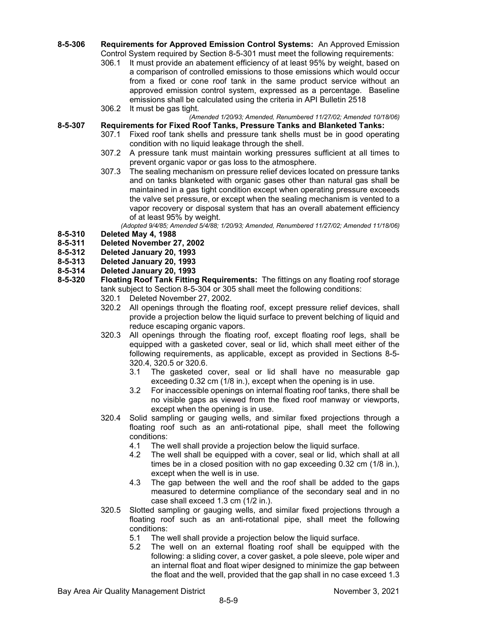- **8-5-306 Requirements for Approved Emission Control Systems:** An Approved Emission Control System required by Section 8-5-301 must meet the following requirements:
	- 306.1 It must provide an abatement efficiency of at least 95% by weight, based on a comparison of controlled emissions to those emissions which would occur from a fixed or cone roof tank in the same product service without an approved emission control system, expressed as a percentage. Baseline emissions shall be calculated using the criteria in API Bulletin 2518
	- 306.2 It must be gas tight.
	- *(Amended 1/20/93; Amended, Renumbered 11/27/02; Amended 10/18/06)*
- **8-5-307 Requirements for Fixed Roof Tanks, Pressure Tanks and Blanketed Tanks:**
	- 307.1 Fixed roof tank shells and pressure tank shells must be in good operating condition with no liquid leakage through the shell.
	- 307.2 A pressure tank must maintain working pressures sufficient at all times to prevent organic vapor or gas loss to the atmosphere.
	- 307.3 The sealing mechanism on pressure relief devices located on pressure tanks and on tanks blanketed with organic gases other than natural gas shall be maintained in a gas tight condition except when operating pressure exceeds the valve set pressure, or except when the sealing mechanism is vented to a vapor recovery or disposal system that has an overall abatement efficiency of at least 95% by weight.

*(Adopted 9/4/85; Amended 5/4/88; 1/20/93; Amended, Renumbered 11/27/02; Amended 11/18/06)* **8-5-310 Deleted May 4, 1988**

- **8-5-311 Deleted November 27, 2002**
- 
- **8-5-312 Deleted January 20, 1993 8-5-313 Deleted January 20, 1993**
- 
- **8-5-314 Deleted January 20, 1993 8-5-320 Floating Roof Tank Fitting Requirements:** The fittings on any floating roof storage tank subject to Section 8-5-304 or 305 shall meet the following conditions:
	- 320.1 Deleted November 27, 2002.
	- 320.2 All openings through the floating roof, except pressure relief devices, shall provide a projection below the liquid surface to prevent belching of liquid and reduce escaping organic vapors.
	- 320.3 All openings through the floating roof, except floating roof legs, shall be equipped with a gasketed cover, seal or lid, which shall meet either of the following requirements, as applicable, except as provided in Sections 8-5- 320.4, 320.5 or 320.6.
		- 3.1 The gasketed cover, seal or lid shall have no measurable gap exceeding 0.32 cm (1/8 in.), except when the opening is in use.
		- 3.2 For inaccessible openings on internal floating roof tanks, there shall be no visible gaps as viewed from the fixed roof manway or viewports, except when the opening is in use.
	- 320.4 Solid sampling or gauging wells, and similar fixed projections through a floating roof such as an anti-rotational pipe, shall meet the following conditions:
		- 4.1 The well shall provide a projection below the liquid surface.
		- 4.2 The well shall be equipped with a cover, seal or lid, which shall at all times be in a closed position with no gap exceeding 0.32 cm (1/8 in.), except when the well is in use.
		- 4.3 The gap between the well and the roof shall be added to the gaps measured to determine compliance of the secondary seal and in no case shall exceed 1.3 cm (1/2 in.).
	- 320.5 Slotted sampling or gauging wells, and similar fixed projections through a floating roof such as an anti-rotational pipe, shall meet the following conditions:<br>5.1 The v
		- The well shall provide a projection below the liquid surface.
		- 5.2 The well on an external floating roof shall be equipped with the following: a sliding cover, a cover gasket, a pole sleeve, pole wiper and an internal float and float wiper designed to minimize the gap between the float and the well, provided that the gap shall in no case exceed 1.3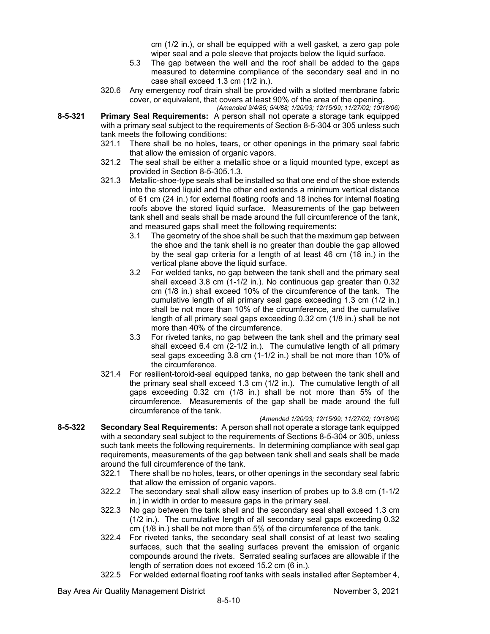cm (1/2 in.), or shall be equipped with a well gasket, a zero gap pole wiper seal and a pole sleeve that projects below the liquid surface.

- 5.3 The gap between the well and the roof shall be added to the gaps measured to determine compliance of the secondary seal and in no case shall exceed 1.3 cm (1/2 in.).
- 320.6 Any emergency roof drain shall be provided with a slotted membrane fabric cover, or equivalent, that covers at least 90% of the area of the opening.
- *(Amended 9/4/85; 5/4/88; 1/20/93; 12/15/99; 11/27/02; 10/18/06)* **8-5-321 Primary Seal Requirements:** A person shall not operate a storage tank equipped with a primary seal subject to the requirements of Section 8-5-304 or 305 unless such tank meets the following conditions:
	- 321.1 There shall be no holes, tears, or other openings in the primary seal fabric that allow the emission of organic vapors.
	- 321.2 The seal shall be either a metallic shoe or a liquid mounted type, except as provided in Section 8-5-305.1.3.
	- 321.3 Metallic-shoe-type seals shall be installed so that one end of the shoe extends into the stored liquid and the other end extends a minimum vertical distance of 61 cm (24 in.) for external floating roofs and 18 inches for internal floating roofs above the stored liquid surface. Measurements of the gap between tank shell and seals shall be made around the full circumference of the tank, and measured gaps shall meet the following requirements:
		- 3.1 The geometry of the shoe shall be such that the maximum gap between the shoe and the tank shell is no greater than double the gap allowed by the seal gap criteria for a length of at least 46 cm (18 in.) in the vertical plane above the liquid surface.
		- 3.2 For welded tanks, no gap between the tank shell and the primary seal shall exceed 3.8 cm (1-1/2 in.). No continuous gap greater than 0.32 cm (1/8 in.) shall exceed 10% of the circumference of the tank. The cumulative length of all primary seal gaps exceeding 1.3 cm (1/2 in.) shall be not more than 10% of the circumference, and the cumulative length of all primary seal gaps exceeding 0.32 cm (1/8 in.) shall be not more than 40% of the circumference.
		- 3.3 For riveted tanks, no gap between the tank shell and the primary seal shall exceed 6.4 cm (2-1/2 in.). The cumulative length of all primary seal gaps exceeding 3.8 cm (1-1/2 in.) shall be not more than 10% of the circumference.
	- 321.4 For resilient-toroid-seal equipped tanks, no gap between the tank shell and the primary seal shall exceed 1.3 cm (1/2 in.). The cumulative length of all gaps exceeding 0.32 cm (1/8 in.) shall be not more than 5% of the circumference. Measurements of the gap shall be made around the full circumference of the tank.
- *(Amended 1/20/93; 12/15/99; 11/27/02; 10/18/06)* **8-5-322 Secondary Seal Requirements:** A person shall not operate a storage tank equipped with a secondary seal subject to the requirements of Sections 8-5-304 or 305, unless such tank meets the following requirements. In determining compliance with seal gap requirements, measurements of the gap between tank shell and seals shall be made around the full circumference of the tank.
	- 322.1 There shall be no holes, tears, or other openings in the secondary seal fabric that allow the emission of organic vapors.
	- 322.2 The secondary seal shall allow easy insertion of probes up to 3.8 cm (1-1/2 in.) in width in order to measure gaps in the primary seal.
	- 322.3 No gap between the tank shell and the secondary seal shall exceed 1.3 cm (1/2 in.). The cumulative length of all secondary seal gaps exceeding 0.32 cm (1/8 in.) shall be not more than 5% of the circumference of the tank.
	- 322.4 For riveted tanks, the secondary seal shall consist of at least two sealing surfaces, such that the sealing surfaces prevent the emission of organic compounds around the rivets. Serrated sealing surfaces are allowable if the length of serration does not exceed 15.2 cm (6 in.).
	- 322.5 For welded external floating roof tanks with seals installed after September 4,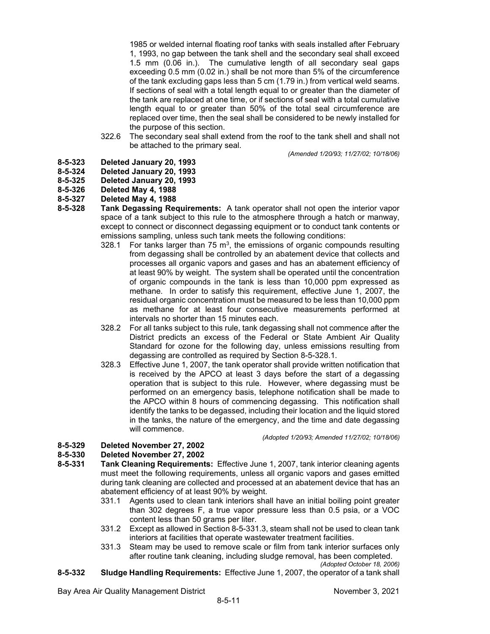1985 or welded internal floating roof tanks with seals installed after February 1, 1993, no gap between the tank shell and the secondary seal shall exceed 1.5 mm (0.06 in.). The cumulative length of all secondary seal gaps exceeding 0.5 mm (0.02 in.) shall be not more than 5% of the circumference of the tank excluding gaps less than 5 cm (1.79 in.) from vertical weld seams. If sections of seal with a total length equal to or greater than the diameter of the tank are replaced at one time, or if sections of seal with a total cumulative length equal to or greater than 50% of the total seal circumference are replaced over time, then the seal shall be considered to be newly installed for the purpose of this section.

322.6 The secondary seal shall extend from the roof to the tank shell and shall not be attached to the primary seal.

*(Amended 1/20/93; 11/27/02; 10/18/06)*

- **8-5-323 Deleted January 20, 1993**
- **8-5-324 Deleted January 20, 1993**
- **8-5-325 Deleted January 20, 1993**
- **8-5-326 Deleted May 4, 1988**
- **8-5-327 Deleted May 4, 1988**
- **8-5-328 Tank Degassing Requirements:** A tank operator shall not open the interior vapor space of a tank subject to this rule to the atmosphere through a hatch or manway, except to connect or disconnect degassing equipment or to conduct tank contents or emissions sampling, unless such tank meets the following conditions:
	- 328.1 For tanks larger than 75  $\text{m}^3$ , the emissions of organic compounds resulting from degassing shall be controlled by an abatement device that collects and processes all organic vapors and gases and has an abatement efficiency of at least 90% by weight. The system shall be operated until the concentration of organic compounds in the tank is less than 10,000 ppm expressed as methane. In order to satisfy this requirement, effective June 1, 2007, the residual organic concentration must be measured to be less than 10,000 ppm as methane for at least four consecutive measurements performed at intervals no shorter than 15 minutes each.
	- 328.2 For all tanks subject to this rule, tank degassing shall not commence after the District predicts an excess of the Federal or State Ambient Air Quality Standard for ozone for the following day, unless emissions resulting from degassing are controlled as required by Section 8-5-328.1.
	- 328.3 Effective June 1, 2007, the tank operator shall provide written notification that is received by the APCO at least 3 days before the start of a degassing operation that is subject to this rule. However, where degassing must be performed on an emergency basis, telephone notification shall be made to the APCO within 8 hours of commencing degassing. This notification shall identify the tanks to be degassed, including their location and the liquid stored in the tanks, the nature of the emergency, and the time and date degassing will commence.

*(Adopted 1/20/93; Amended 11/27/02; 10/18/06)*

## **8-5-329 Deleted November 27, 2002**

## **8-5-330 Deleted November 27, 2002**

- **8-5-331 Tank Cleaning Requirements:** Effective June 1, 2007, tank interior cleaning agents must meet the following requirements, unless all organic vapors and gases emitted during tank cleaning are collected and processed at an abatement device that has an abatement efficiency of at least 90% by weight.
	- 331.1 Agents used to clean tank interiors shall have an initial boiling point greater than 302 degrees F, a true vapor pressure less than 0.5 psia, or a VOC content less than 50 grams per liter.
	- 331.2 Except as allowed in Section 8-5-331.3, steam shall not be used to clean tank interiors at facilities that operate wastewater treatment facilities.
	- 331.3 Steam may be used to remove scale or film from tank interior surfaces only after routine tank cleaning, including sludge removal, has been completed. *(Adopted October 18, 2006)*
- **8-5-332 Sludge Handling Requirements:** Effective June 1, 2007, the operator of a tank shall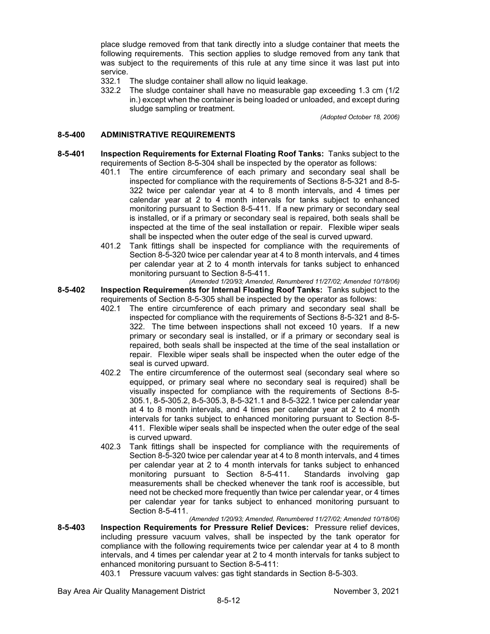place sludge removed from that tank directly into a sludge container that meets the following requirements. This section applies to sludge removed from any tank that was subject to the requirements of this rule at any time since it was last put into service.

- 332.1 The sludge container shall allow no liquid leakage.
- 332.2 The sludge container shall have no measurable gap exceeding 1.3 cm (1/2 in.) except when the container is being loaded or unloaded, and except during sludge sampling or treatment.

*(Adopted October 18, 2006)*

### **8-5-400 ADMINISTRATIVE REQUIREMENTS**

- **8-5-401 Inspection Requirements for External Floating Roof Tanks:** Tanks subject to the requirements of Section 8-5-304 shall be inspected by the operator as follows:
	- 401.1 The entire circumference of each primary and secondary seal shall be inspected for compliance with the requirements of Sections 8-5-321 and 8-5- 322 twice per calendar year at 4 to 8 month intervals, and 4 times per calendar year at 2 to 4 month intervals for tanks subject to enhanced monitoring pursuant to Section 8-5-411. If a new primary or secondary seal is installed, or if a primary or secondary seal is repaired, both seals shall be inspected at the time of the seal installation or repair. Flexible wiper seals shall be inspected when the outer edge of the seal is curved upward.
	- 401.2 Tank fittings shall be inspected for compliance with the requirements of Section 8-5-320 twice per calendar year at 4 to 8 month intervals, and 4 times per calendar year at 2 to 4 month intervals for tanks subject to enhanced monitoring pursuant to Section 8-5-411.
- *(Amended 1/20/93; Amended, Renumbered 11/27/02; Amended 10/18/06)* **8-5-402 Inspection Requirements for Internal Floating Roof Tanks:** Tanks subject to the requirements of Section 8-5-305 shall be inspected by the operator as follows:
	- 402.1 The entire circumference of each primary and secondary seal shall be inspected for compliance with the requirements of Sections 8-5-321 and 8-5- 322. The time between inspections shall not exceed 10 years. If a new primary or secondary seal is installed, or if a primary or secondary seal is repaired, both seals shall be inspected at the time of the seal installation or repair. Flexible wiper seals shall be inspected when the outer edge of the seal is curved upward.
	- 402.2 The entire circumference of the outermost seal (secondary seal where so equipped, or primary seal where no secondary seal is required) shall be visually inspected for compliance with the requirements of Sections 8-5- 305.1, 8-5-305.2, 8-5-305.3, 8-5-321.1 and 8-5-322.1 twice per calendar year at 4 to 8 month intervals, and 4 times per calendar year at 2 to 4 month intervals for tanks subject to enhanced monitoring pursuant to Section 8-5- 411. Flexible wiper seals shall be inspected when the outer edge of the seal is curved upward.
	- 402.3 Tank fittings shall be inspected for compliance with the requirements of Section 8-5-320 twice per calendar year at 4 to 8 month intervals, and 4 times per calendar year at 2 to 4 month intervals for tanks subject to enhanced monitoring pursuant to Section 8-5-411. Standards involving gap measurements shall be checked whenever the tank roof is accessible, but need not be checked more frequently than twice per calendar year, or 4 times per calendar year for tanks subject to enhanced monitoring pursuant to Section 8-5-411.

*(Amended 1/20/93; Amended, Renumbered 11/27/02; Amended 10/18/06)* **8-5-403 Inspection Requirements for Pressure Relief Devices:** Pressure relief devices, including pressure vacuum valves, shall be inspected by the tank operator for compliance with the following requirements twice per calendar year at 4 to 8 month intervals, and 4 times per calendar year at 2 to 4 month intervals for tanks subject to enhanced monitoring pursuant to Section 8-5-411:

403.1 Pressure vacuum valves: gas tight standards in Section 8-5-303.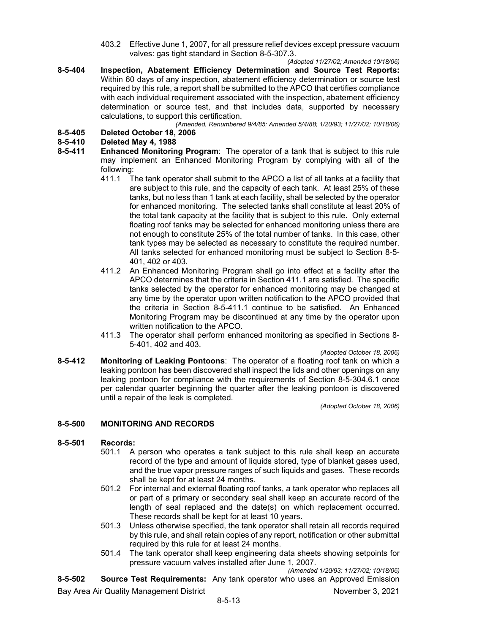- 403.2 Effective June 1, 2007, for all pressure relief devices except pressure vacuum valves: gas tight standard in Section 8-5-307.3.
- *(Adopted 11/27/02; Amended 10/18/06)* **8-5-404 Inspection, Abatement Efficiency Determination and Source Test Reports:** Within 60 days of any inspection, abatement efficiency determination or source test required by this rule, a report shall be submitted to the APCO that certifies compliance with each individual requirement associated with the inspection, abatement efficiency determination or source test, and that includes data, supported by necessary calculations, to support this certification.

*(Amended, Renumbered 9/4/85; Amended 5/4/88; 1/20/93; 11/27/02; 10/18/06)*

## **8-5-405 Deleted October 18, 2006**

## **8-5-410 Deleted May 4, 1988**

- **Enhanced Monitoring Program:** The operator of a tank that is subject to this rule may implement an Enhanced Monitoring Program by complying with all of the following:<br>411.1 T
	- The tank operator shall submit to the APCO a list of all tanks at a facility that are subject to this rule, and the capacity of each tank. At least 25% of these tanks, but no less than 1 tank at each facility, shall be selected by the operator for enhanced monitoring. The selected tanks shall constitute at least 20% of the total tank capacity at the facility that is subject to this rule. Only external floating roof tanks may be selected for enhanced monitoring unless there are not enough to constitute 25% of the total number of tanks. In this case, other tank types may be selected as necessary to constitute the required number. All tanks selected for enhanced monitoring must be subject to Section 8-5- 401, 402 or 403.
	- 411.2 An Enhanced Monitoring Program shall go into effect at a facility after the APCO determines that the criteria in Section 411.1 are satisfied. The specific tanks selected by the operator for enhanced monitoring may be changed at any time by the operator upon written notification to the APCO provided that the criteria in Section 8-5-411.1 continue to be satisfied. An Enhanced Monitoring Program may be discontinued at any time by the operator upon written notification to the APCO.
	- 411.3 The operator shall perform enhanced monitoring as specified in Sections 8- 5-401, 402 and 403.

#### *(Adopted October 18, 2006)*

**8-5-412 Monitoring of Leaking Pontoons**: The operator of a floating roof tank on which a leaking pontoon has been discovered shall inspect the lids and other openings on any leaking pontoon for compliance with the requirements of Section 8-5-304.6.1 once per calendar quarter beginning the quarter after the leaking pontoon is discovered until a repair of the leak is completed.

*(Adopted October 18, 2006)*

### **8-5-500 MONITORING AND RECORDS**

### **8-5-501 Records:**

- 501.1 A person who operates a tank subject to this rule shall keep an accurate record of the type and amount of liquids stored, type of blanket gases used, and the true vapor pressure ranges of such liquids and gases. These records shall be kept for at least 24 months.
- 501.2 For internal and external floating roof tanks, a tank operator who replaces all or part of a primary or secondary seal shall keep an accurate record of the length of seal replaced and the date(s) on which replacement occurred. These records shall be kept for at least 10 years.
- 501.3 Unless otherwise specified, the tank operator shall retain all records required by this rule, and shall retain copies of any report, notification or other submittal required by this rule for at least 24 months.
- 501.4 The tank operator shall keep engineering data sheets showing setpoints for pressure vacuum valves installed after June 1, 2007.

*(Amended 1/20/93; 11/27/02; 10/18/06)*

**8-5-502 Source Test Requirements:** Any tank operator who uses an Approved Emission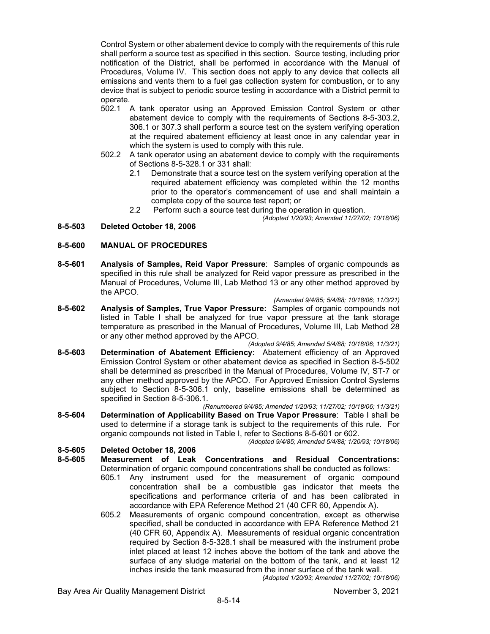Control System or other abatement device to comply with the requirements of this rule shall perform a source test as specified in this section. Source testing, including prior notification of the District, shall be performed in accordance with the Manual of Procedures, Volume IV. This section does not apply to any device that collects all emissions and vents them to a fuel gas collection system for combustion, or to any device that is subject to periodic source testing in accordance with a District permit to operate.

- 502.1 A tank operator using an Approved Emission Control System or other abatement device to comply with the requirements of Sections 8-5-303.2, 306.1 or 307.3 shall perform a source test on the system verifying operation at the required abatement efficiency at least once in any calendar year in which the system is used to comply with this rule.
- 502.2 A tank operator using an abatement device to comply with the requirements of Sections 8-5-328.1 or 331 shall:
	- 2.1 Demonstrate that a source test on the system verifying operation at the required abatement efficiency was completed within the 12 months prior to the operator's commencement of use and shall maintain a complete copy of the source test report; or
	- 2.2 Perform such a source test during the operation in question.

#### *(Adopted 1/20/93; Amended 11/27/02; 10/18/06)*

### **8-5-503 Deleted October 18, 2006**

### **8-5-600 MANUAL OF PROCEDURES**

**8-5-601 Analysis of Samples, Reid Vapor Pressure**: Samples of organic compounds as specified in this rule shall be analyzed for Reid vapor pressure as prescribed in the Manual of Procedures, Volume III, Lab Method 13 or any other method approved by the APCO.

*(Amended 9/4/85; 5/4/88; 10/18/06; 11/3/21)*

- **8-5-602 Analysis of Samples, True Vapor Pressure:** Samples of organic compounds not listed in Table I shall be analyzed for true vapor pressure at the tank storage temperature as prescribed in the Manual of Procedures, Volume III, Lab Method 28 or any other method approved by the APCO.
- *(Adopted 9/4/85; Amended 5/4/88; 10/18/06; 11/3/21)* **8-5-603 Determination of Abatement Efficiency:** Abatement efficiency of an Approved Emission Control System or other abatement device as specified in Section 8-5-502 shall be determined as prescribed in the Manual of Procedures, Volume IV, ST-7 or any other method approved by the APCO. For Approved Emission Control Systems subject to Section 8-5-306.1 only, baseline emissions shall be determined as specified in Section 8-5-306.1.

*(Renumbered 9/4/85; Amended 1/20/93; 11/27/02; 10/18/06; 11/3/21)*

**8-5-604 Determination of Applicability Based on True Vapor Pressure**: Table I shall be used to determine if a storage tank is subject to the requirements of this rule. For organic compounds not listed in Table I, refer to Sections 8-5-601 or 602.

*(Adopted 9/4/85; Amended 5/4/88; 1/20/93; 10/18/06)*

### **8-5-605 Deleted October 18, 2006**

- **8-5-605 Measurement of Leak Concentrations and Residual Concentrations:** Determination of organic compound concentrations shall be conducted as follows:
	- 605.1 Any instrument used for the measurement of organic compound concentration shall be a combustible gas indicator that meets the specifications and performance criteria of and has been calibrated in accordance with EPA Reference Method 21 (40 CFR 60, Appendix A).
	- 605.2 Measurements of organic compound concentration, except as otherwise specified, shall be conducted in accordance with EPA Reference Method 21 (40 CFR 60, Appendix A). Measurements of residual organic concentration required by Section 8-5-328.1 shall be measured with the instrument probe inlet placed at least 12 inches above the bottom of the tank and above the surface of any sludge material on the bottom of the tank, and at least 12 inches inside the tank measured from the inner surface of the tank wall.

*(Adopted 1/20/93; Amended 11/27/02; 10/18/06)*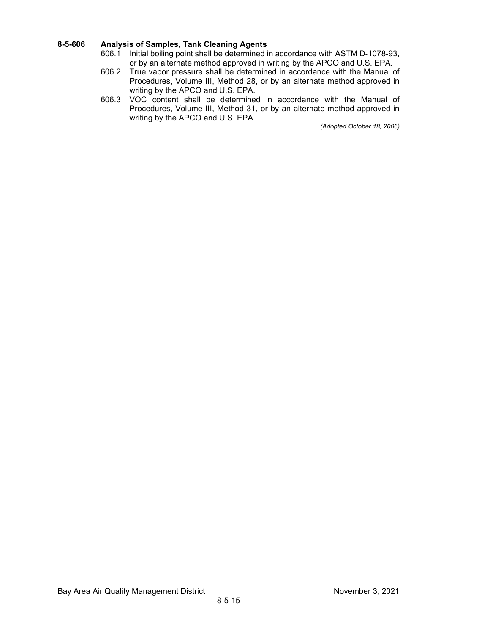# **8-5-606 Analysis of Samples, Tank Cleaning Agents**

- Initial boiling point shall be determined in accordance with ASTM D-1078-93, or by an alternate method approved in writing by the APCO and U.S. EPA.
- 606.2 True vapor pressure shall be determined in accordance with the Manual of Procedures, Volume III, Method 28, or by an alternate method approved in writing by the APCO and U.S. EPA.
- 606.3 VOC content shall be determined in accordance with the Manual of Procedures, Volume III, Method 31, or by an alternate method approved in writing by the APCO and U.S. EPA.

*(Adopted October 18, 2006)*